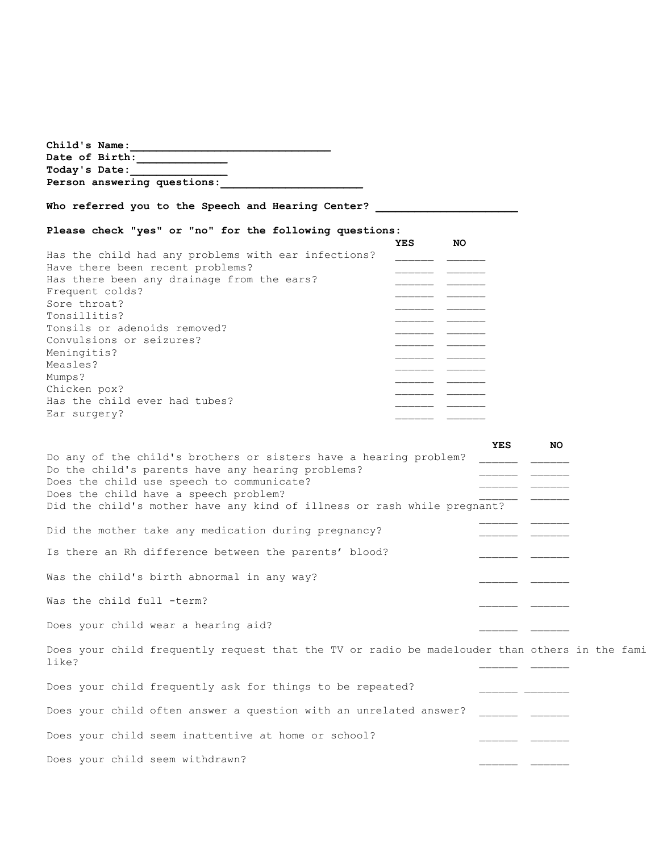| Child's Name:<br><u> 1989 - Johann John Harry Harry Harry Harry Harry Harry Harry Harry Harry Harry Harry Harry Harry Harry Harry H</u>                                                                                                                                                                                                                                |
|------------------------------------------------------------------------------------------------------------------------------------------------------------------------------------------------------------------------------------------------------------------------------------------------------------------------------------------------------------------------|
| Date of Birth:<br>Today's Date:                                                                                                                                                                                                                                                                                                                                        |
| Person answering questions:                                                                                                                                                                                                                                                                                                                                            |
| Who referred you to the Speech and Hearing Center?                                                                                                                                                                                                                                                                                                                     |
| Please check "yes" or "no" for the following questions:<br>YES<br>NO.                                                                                                                                                                                                                                                                                                  |
| Has the child had any problems with ear infections?<br>Have there been recent problems?<br>Has there been any drainage from the ears?<br>Frequent colds?<br>Sore throat?<br>Tonsillitis?<br>Tonsils or adenoids removed?<br>Convulsions or seizures?<br>___ ____<br>Meningitis?<br>Measles?<br>Mumps?<br>Chicken pox?<br>Has the child ever had tubes?<br>Ear surgery? |
| <b>YES</b><br>NO<br>Do any of the child's brothers or sisters have a hearing problem?<br>Do the child's parents have any hearing problems?<br>Does the child use speech to communicate?<br>Does the child have a speech problem?<br>Did the child's mother have any kind of illness or rash while pregnant?                                                            |
| Did the mother take any medication during pregnancy?                                                                                                                                                                                                                                                                                                                   |
| Is there an Rh difference between the parents' blood?                                                                                                                                                                                                                                                                                                                  |
| Was the child's birth abnormal in any way?                                                                                                                                                                                                                                                                                                                             |
| Was the child full -term?                                                                                                                                                                                                                                                                                                                                              |
| Does your child wear a hearing aid?                                                                                                                                                                                                                                                                                                                                    |
| Does your child frequently request that the TV or radio be madelouder than others in the fami<br>like?                                                                                                                                                                                                                                                                 |
| Does your child frequently ask for things to be repeated?                                                                                                                                                                                                                                                                                                              |
| Does your child often answer a question with an unrelated answer?                                                                                                                                                                                                                                                                                                      |
| Does your child seem inattentive at home or school?                                                                                                                                                                                                                                                                                                                    |
| Does your child seem withdrawn?                                                                                                                                                                                                                                                                                                                                        |